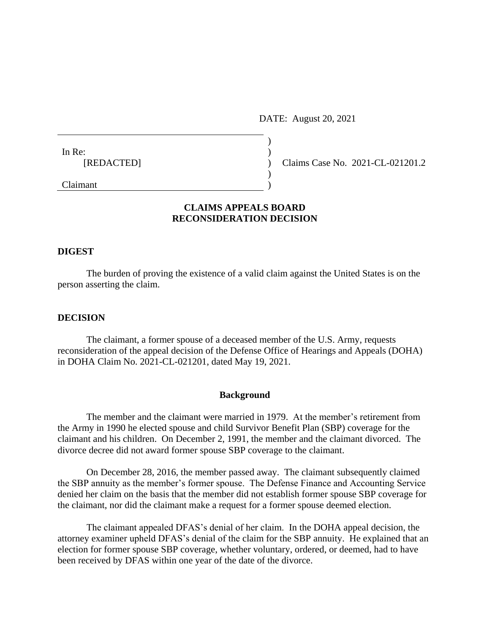DATE: August 20, 2021

| In Re:     |  |                                  |
|------------|--|----------------------------------|
| [REDACTED] |  | Claims Case No. 2021-CL-021201.2 |
|            |  |                                  |
|            |  |                                  |
| Claimant   |  |                                  |

# **CLAIMS APPEALS BOARD RECONSIDERATION DECISION**

### **DIGEST**

The burden of proving the existence of a valid claim against the United States is on the person asserting the claim.

#### **DECISION**

The claimant, a former spouse of a deceased member of the U.S. Army, requests reconsideration of the appeal decision of the Defense Office of Hearings and Appeals (DOHA) in DOHA Claim No. 2021-CL-021201, dated May 19, 2021.

#### **Background**

The member and the claimant were married in 1979. At the member's retirement from the Army in 1990 he elected spouse and child Survivor Benefit Plan (SBP) coverage for the claimant and his children. On December 2, 1991, the member and the claimant divorced. The divorce decree did not award former spouse SBP coverage to the claimant.

On December 28, 2016, the member passed away. The claimant subsequently claimed the SBP annuity as the member's former spouse. The Defense Finance and Accounting Service denied her claim on the basis that the member did not establish former spouse SBP coverage for the claimant, nor did the claimant make a request for a former spouse deemed election.

The claimant appealed DFAS's denial of her claim. In the DOHA appeal decision, the attorney examiner upheld DFAS's denial of the claim for the SBP annuity. He explained that an election for former spouse SBP coverage, whether voluntary, ordered, or deemed, had to have been received by DFAS within one year of the date of the divorce.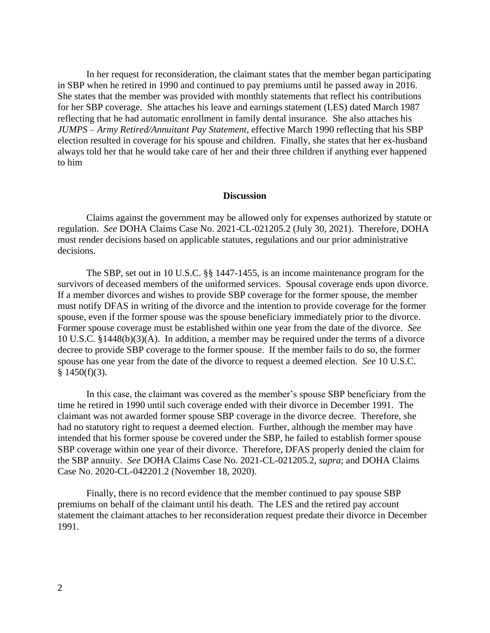In her request for reconsideration, the claimant states that the member began participating in SBP when he retired in 1990 and continued to pay premiums until he passed away in 2016. She states that the member was provided with monthly statements that reflect his contributions for her SBP coverage. She attaches his leave and earnings statement (LES) dated March 1987 reflecting that he had automatic enrollment in family dental insurance. She also attaches his *JUMPS – Army Retired/Annuitant Pay Statement*, effective March 1990 reflecting that his SBP election resulted in coverage for his spouse and children. Finally, she states that her ex-husband always told her that he would take care of her and their three children if anything ever happened to him

## **Discussion**

Claims against the government may be allowed only for expenses authorized by statute or regulation. *See* DOHA Claims Case No. 2021-CL-021205.2 (July 30, 2021). Therefore, DOHA must render decisions based on applicable statutes, regulations and our prior administrative decisions.

The SBP, set out in 10 U.S.C. §§ 1447-1455, is an income maintenance program for the survivors of deceased members of the uniformed services. Spousal coverage ends upon divorce. If a member divorces and wishes to provide SBP coverage for the former spouse, the member must notify DFAS in writing of the divorce and the intention to provide coverage for the former spouse, even if the former spouse was the spouse beneficiary immediately prior to the divorce. Former spouse coverage must be established within one year from the date of the divorce. *See*  10 U.S.C. §1448(b)(3)(A). In addition, a member may be required under the terms of a divorce decree to provide SBP coverage to the former spouse. If the member fails to do so, the former spouse has one year from the date of the divorce to request a deemed election. *See* 10 U.S.C.  $§$  1450(f)(3).

In this case, the claimant was covered as the member's spouse SBP beneficiary from the time he retired in 1990 until such coverage ended with their divorce in December 1991. The claimant was not awarded former spouse SBP coverage in the divorce decree. Therefore, she had no statutory right to request a deemed election. Further, although the member may have intended that his former spouse be covered under the SBP, he failed to establish former spouse SBP coverage within one year of their divorce. Therefore, DFAS properly denied the claim for the SBP annuity. *See* DOHA Claims Case No. 2021-CL-021205.2, *supra*; and DOHA Claims Case No. 2020-CL-042201.2 (November 18, 2020).

Finally, there is no record evidence that the member continued to pay spouse SBP premiums on behalf of the claimant until his death. The LES and the retired pay account statement the claimant attaches to her reconsideration request predate their divorce in December 1991.